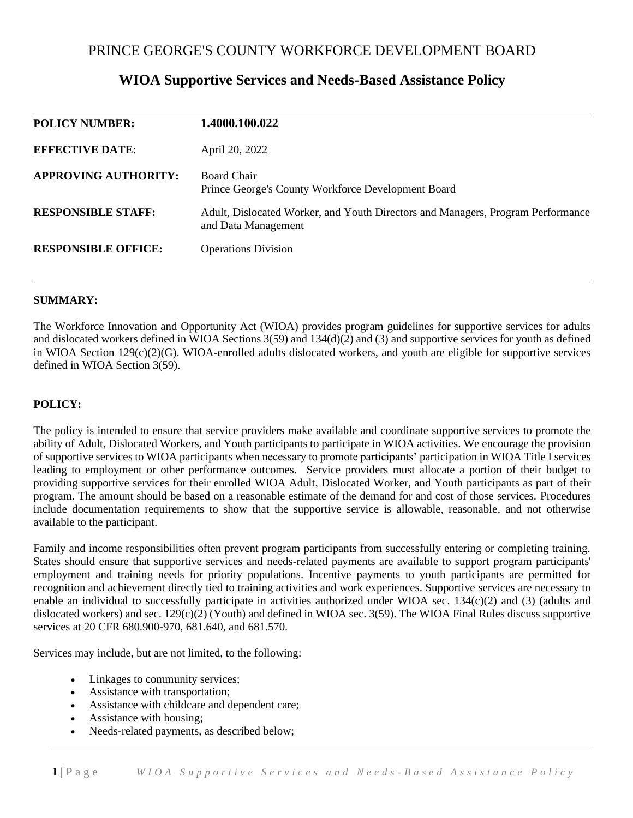# PRINCE GEORGE'S COUNTY WORKFORCE DEVELOPMENT BOARD

# **POLICY NUMBER: 1.4000.100.022 EFFECTIVE DATE**: April 20, 2022 **APPROVING AUTHORITY:** Board Chair Prince George's County Workforce Development Board **RESPONSIBLE STAFF:** Adult, Dislocated Worker, and Youth Directors and Managers, Program Performance and Data Management **RESPONSIBLE OFFICE:** Operations Division

# **WIOA Supportive Services and Needs-Based Assistance Policy**

#### **SUMMARY:**

The Workforce Innovation and Opportunity Act (WIOA) provides program guidelines for supportive services for adults and dislocated workers defined in WIOA Sections 3(59) and 134(d)(2) and (3) and supportive services for youth as defined in WIOA Section 129(c)(2)(G). WIOA-enrolled adults dislocated workers, and youth are eligible for supportive services defined in WIOA Section 3(59).

#### **POLICY:**

The policy is intended to ensure that service providers make available and coordinate supportive services to promote the ability of Adult, Dislocated Workers, and Youth participants to participate in WIOA activities. We encourage the provision of supportive services to WIOA participants when necessary to promote participants' participation in WIOA Title I services leading to employment or other performance outcomes. Service providers must allocate a portion of their budget to providing supportive services for their enrolled WIOA Adult, Dislocated Worker, and Youth participants as part of their program. The amount should be based on a reasonable estimate of the demand for and cost of those services. Procedures include documentation requirements to show that the supportive service is allowable, reasonable, and not otherwise available to the participant.

Family and income responsibilities often prevent program participants from successfully entering or completing training. States should ensure that supportive services and needs-related payments are available to support program participants' employment and training needs for priority populations. Incentive payments to youth participants are permitted for recognition and achievement directly tied to training activities and work experiences. Supportive services are necessary to enable an individual to successfully participate in activities authorized under WIOA sec. 134(c)(2) and (3) (adults and dislocated workers) and sec.  $129(c)(2)$  (Youth) and defined in WIOA sec. 3(59). The WIOA Final Rules discuss supportive services at 20 CFR 680.900-970, 681.640, and 681.570.

Services may include, but are not limited, to the following:

- Linkages to community services;
- Assistance with transportation;
- Assistance with childcare and dependent care;
- Assistance with housing;
- Needs-related payments, as described below;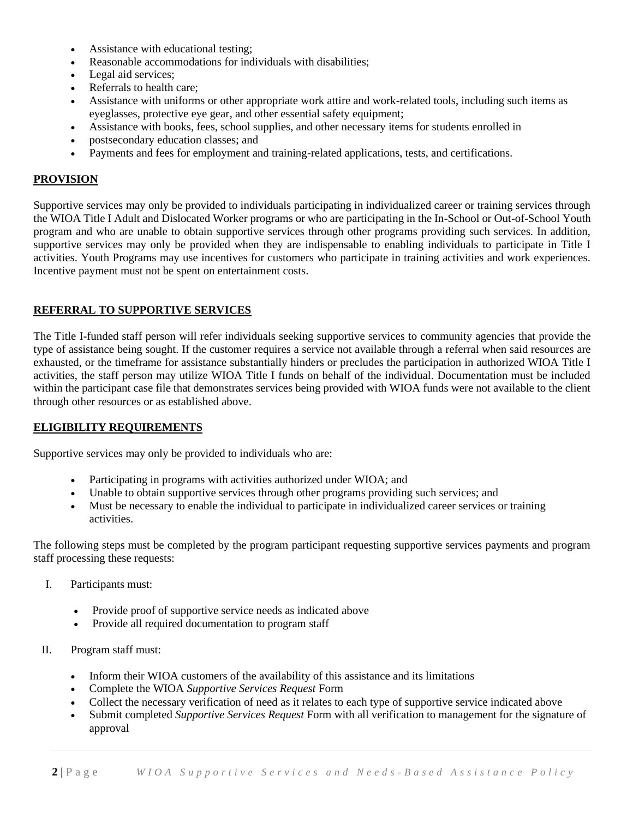- Assistance with educational testing;
- Reasonable accommodations for individuals with disabilities;
- Legal aid services;
- Referrals to health care;
- Assistance with uniforms or other appropriate work attire and work-related tools, including such items as eyeglasses, protective eye gear, and other essential safety equipment;
- Assistance with books, fees, school supplies, and other necessary items for students enrolled in
- postsecondary education classes; and
- Payments and fees for employment and training-related applications, tests, and certifications.

### **PROVISION**

Supportive services may only be provided to individuals participating in individualized career or training services through the WIOA Title I Adult and Dislocated Worker programs or who are participating in the In-School or Out-of-School Youth program and who are unable to obtain supportive services through other programs providing such services. In addition, supportive services may only be provided when they are indispensable to enabling individuals to participate in Title I activities. Youth Programs may use incentives for customers who participate in training activities and work experiences. Incentive payment must not be spent on entertainment costs.

# **REFERRAL TO SUPPORTIVE SERVICES**

The Title I-funded staff person will refer individuals seeking supportive services to community agencies that provide the type of assistance being sought. If the customer requires a service not available through a referral when said resources are exhausted, or the timeframe for assistance substantially hinders or precludes the participation in authorized WIOA Title I activities, the staff person may utilize WIOA Title I funds on behalf of the individual. Documentation must be included within the participant case file that demonstrates services being provided with WIOA funds were not available to the client through other resources or as established above.

#### **ELIGIBILITY REQUIREMENTS**

Supportive services may only be provided to individuals who are:

- Participating in programs with activities authorized under WIOA; and
- Unable to obtain supportive services through other programs providing such services; and
- Must be necessary to enable the individual to participate in individualized career services or training activities.

The following steps must be completed by the program participant requesting supportive services payments and program staff processing these requests:

- I. Participants must:
	- Provide proof of supportive service needs as indicated above
	- Provide all required documentation to program staff
- II. Program staff must:
	- Inform their WIOA customers of the availability of this assistance and its limitations
	- Complete the WIOA *Supportive Services Request* Form
	- Collect the necessary verification of need as it relates to each type of supportive service indicated above
	- Submit completed *Supportive Services Request* Form with all verification to management for the signature of approval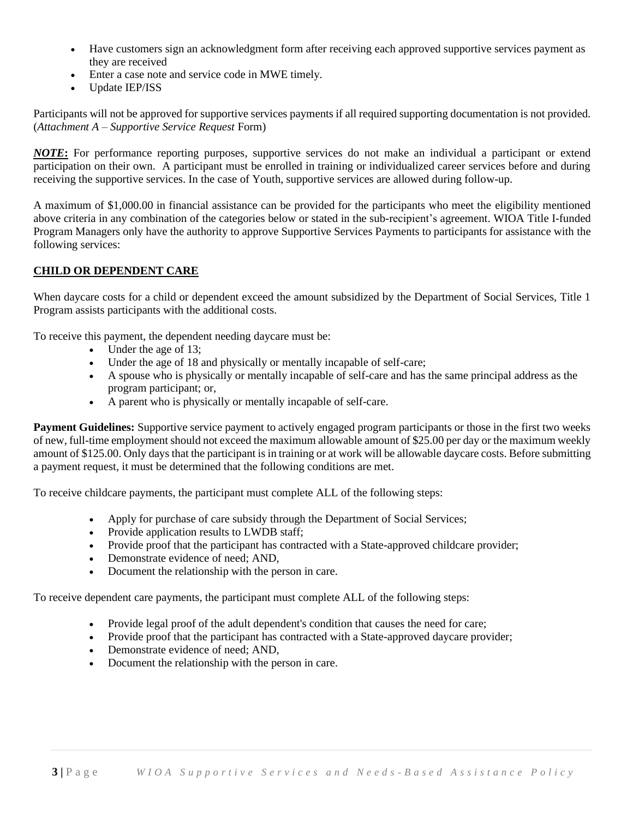- Have customers sign an acknowledgment form after receiving each approved supportive services payment as they are received
- Enter a case note and service code in MWE timely.
- Update IEP/ISS

Participants will not be approved for supportive services payments if all required supporting documentation is not provided. (*Attachment A* – *Supportive Service Request* Form)

*NOTE***:** For performance reporting purposes, supportive services do not make an individual a participant or extend participation on their own. A participant must be enrolled in training or individualized career services before and during receiving the supportive services. In the case of Youth, supportive services are allowed during follow-up.

A maximum of \$1,000.00 in financial assistance can be provided for the participants who meet the eligibility mentioned above criteria in any combination of the categories below or stated in the sub-recipient's agreement. WIOA Title I-funded Program Managers only have the authority to approve Supportive Services Payments to participants for assistance with the following services:

#### **CHILD OR DEPENDENT CARE**

When daycare costs for a child or dependent exceed the amount subsidized by the Department of Social Services, Title 1 Program assists participants with the additional costs.

To receive this payment, the dependent needing daycare must be:

- Under the age of 13;
- Under the age of 18 and physically or mentally incapable of self-care;
- A spouse who is physically or mentally incapable of self-care and has the same principal address as the program participant; or,
- A parent who is physically or mentally incapable of self-care.

**Payment Guidelines:** Supportive service payment to actively engaged program participants or those in the first two weeks of new, full-time employment should not exceed the maximum allowable amount of \$25.00 per day or the maximum weekly amount of \$125.00. Only days that the participant is in training or at work will be allowable daycare costs. Before submitting a payment request, it must be determined that the following conditions are met.

To receive childcare payments, the participant must complete ALL of the following steps:

- Apply for purchase of care subsidy through the Department of Social Services;
- Provide application results to LWDB staff;
- Provide proof that the participant has contracted with a State-approved childcare provider;
- Demonstrate evidence of need; AND,
- Document the relationship with the person in care.

To receive dependent care payments, the participant must complete ALL of the following steps:

- Provide legal proof of the adult dependent's condition that causes the need for care;
- Provide proof that the participant has contracted with a State-approved daycare provider;
- Demonstrate evidence of need: AND.
- Document the relationship with the person in care.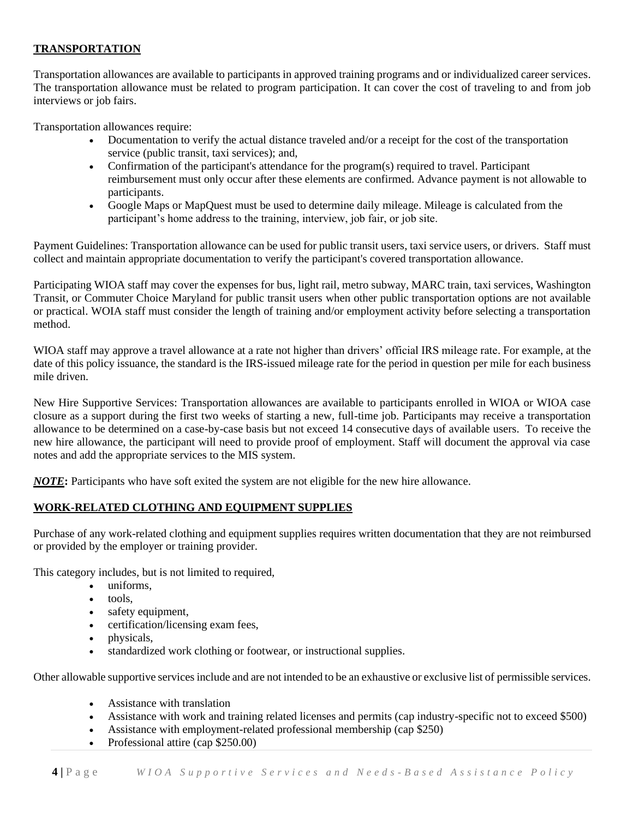# **TRANSPORTATION**

Transportation allowances are available to participants in approved training programs and or individualized career services. The transportation allowance must be related to program participation. It can cover the cost of traveling to and from job interviews or job fairs.

Transportation allowances require:

- Documentation to verify the actual distance traveled and/or a receipt for the cost of the transportation service (public transit, taxi services); and,
- Confirmation of the participant's attendance for the program(s) required to travel. Participant reimbursement must only occur after these elements are confirmed. Advance payment is not allowable to participants.
- Google Maps or MapQuest must be used to determine daily mileage. Mileage is calculated from the participant's home address to the training, interview, job fair, or job site.

Payment Guidelines: Transportation allowance can be used for public transit users, taxi service users, or drivers. Staff must collect and maintain appropriate documentation to verify the participant's covered transportation allowance.

Participating WIOA staff may cover the expenses for bus, light rail, metro subway, MARC train, taxi services, Washington Transit, or Commuter Choice Maryland for public transit users when other public transportation options are not available or practical. WOIA staff must consider the length of training and/or employment activity before selecting a transportation method.

WIOA staff may approve a travel allowance at a rate not higher than drivers' official IRS mileage rate. For example, at the date of this policy issuance, the standard is the IRS-issued mileage rate for the period in question per mile for each business mile driven.

New Hire Supportive Services: Transportation allowances are available to participants enrolled in WIOA or WIOA case closure as a support during the first two weeks of starting a new, full-time job. Participants may receive a transportation allowance to be determined on a case-by-case basis but not exceed 14 consecutive days of available users. To receive the new hire allowance, the participant will need to provide proof of employment. Staff will document the approval via case notes and add the appropriate services to the MIS system.

*NOTE***:** Participants who have soft exited the system are not eligible for the new hire allowance.

# **WORK-RELATED CLOTHING AND EQUIPMENT SUPPLIES**

Purchase of any work-related clothing and equipment supplies requires written documentation that they are not reimbursed or provided by the employer or training provider.

This category includes, but is not limited to required,

- uniforms,
- tools,
- safety equipment,
- certification/licensing exam fees,
- physicals,
- standardized work clothing or footwear, or instructional supplies.

Other allowable supportive services include and are not intended to be an exhaustive or exclusive list of permissible services.

- Assistance with translation
- Assistance with work and training related licenses and permits (cap industry-specific not to exceed \$500)
- Assistance with employment-related professional membership (cap \$250)
- Professional attire (cap \$250.00)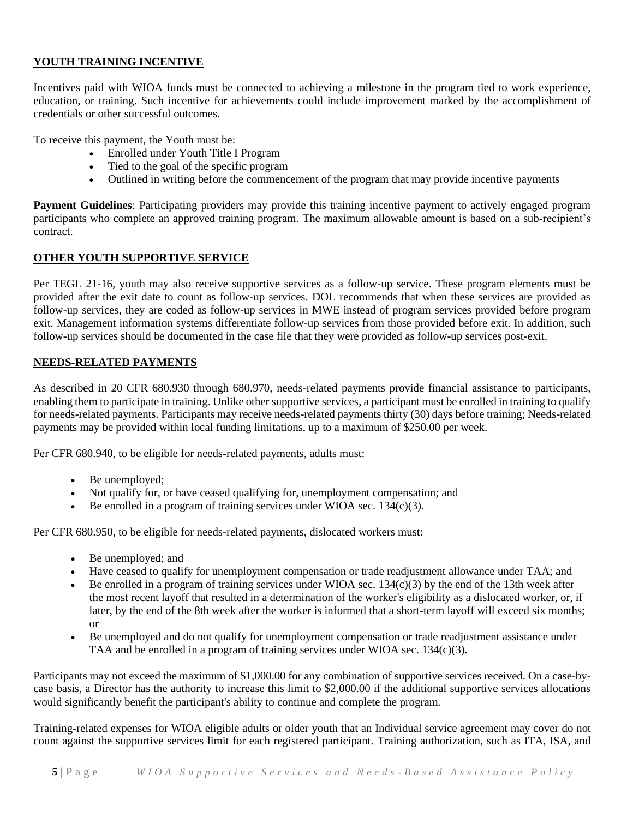#### **YOUTH TRAINING INCENTIVE**

Incentives paid with WIOA funds must be connected to achieving a milestone in the program tied to work experience, education, or training. Such incentive for achievements could include improvement marked by the accomplishment of credentials or other successful outcomes.

To receive this payment, the Youth must be:

- Enrolled under Youth Title I Program
- Tied to the goal of the specific program
- Outlined in writing before the commencement of the program that may provide incentive payments

**Payment Guidelines**: Participating providers may provide this training incentive payment to actively engaged program participants who complete an approved training program. The maximum allowable amount is based on a sub-recipient's contract.

#### **OTHER YOUTH SUPPORTIVE SERVICE**

Per TEGL 21-16, youth may also receive supportive services as a follow-up service. These program elements must be provided after the exit date to count as follow-up services. DOL recommends that when these services are provided as follow-up services, they are coded as follow-up services in MWE instead of program services provided before program exit. Management information systems differentiate follow-up services from those provided before exit. In addition, such follow-up services should be documented in the case file that they were provided as follow-up services post-exit.

#### **NEEDS-RELATED PAYMENTS**

As described in 20 CFR 680.930 through 680.970, needs-related payments provide financial assistance to participants, enabling them to participate in training. Unlike other supportive services, a participant must be enrolled in training to qualify for needs-related payments. Participants may receive needs-related payments thirty (30) days before training; Needs-related payments may be provided within local funding limitations, up to a maximum of \$250.00 per week.

Per CFR 680.940, to be eligible for needs-related payments, adults must:

- Be unemployed;
- Not qualify for, or have ceased qualifying for, unemployment compensation; and
- Be enrolled in a program of training services under WIOA sec.  $134(c)(3)$ .

Per CFR 680.950, to be eligible for needs-related payments, dislocated workers must:

- Be unemployed; and
- Have ceased to qualify for unemployment compensation or trade readjustment allowance under TAA; and
- Be enrolled in a program of training services under WIOA sec. 134(c)(3) by the end of the 13th week after the most recent layoff that resulted in a determination of the worker's eligibility as a dislocated worker, or, if later, by the end of the 8th week after the worker is informed that a short-term layoff will exceed six months; or
- Be unemployed and do not qualify for unemployment compensation or trade readjustment assistance under TAA and be enrolled in a program of training services under WIOA sec. 134(c)(3).

Participants may not exceed the maximum of \$1,000.00 for any combination of supportive services received. On a case-bycase basis, a Director has the authority to increase this limit to \$2,000.00 if the additional supportive services allocations would significantly benefit the participant's ability to continue and complete the program.

Training-related expenses for WIOA eligible adults or older youth that an Individual service agreement may cover do not count against the supportive services limit for each registered participant. Training authorization, such as ITA, ISA, and